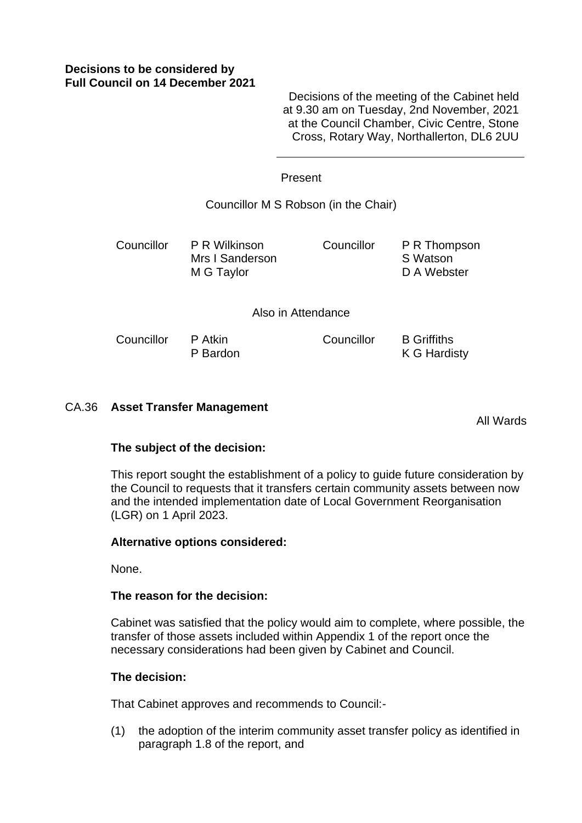# **Decisions to be considered by Full Council on 14 December 2021**

Decisions of the meeting of the Cabinet held at 9.30 am on Tuesday, 2nd November, 2021 at the Council Chamber, Civic Centre, Stone Cross, Rotary Way, Northallerton, DL6 2UU

#### Present

Councillor M S Robson (in the Chair)

Councillor P R Wilkinson Mrs I Sanderson M G Taylor

Councillor B Griffiths

Councillor P R Thompson S Watson D A Webster

K G Hardisty

Also in Attendance

Councillor P Atkin P Bardon

# CA.36 **Asset Transfer Management**

All Wards

## **The subject of the decision:**

This report sought the establishment of a policy to guide future consideration by the Council to requests that it transfers certain community assets between now and the intended implementation date of Local Government Reorganisation (LGR) on 1 April 2023.

## **Alternative options considered:**

None.

## **The reason for the decision:**

Cabinet was satisfied that the policy would aim to complete, where possible, the transfer of those assets included within Appendix 1 of the report once the necessary considerations had been given by Cabinet and Council.

#### **The decision:**

That Cabinet approves and recommends to Council:-

(1) the adoption of the interim community asset transfer policy as identified in paragraph 1.8 of the report, and